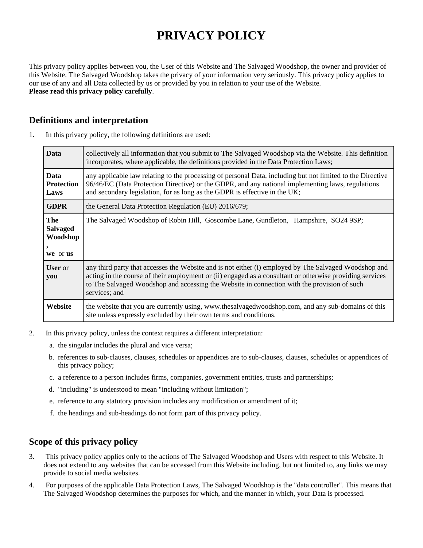# **PRIVACY POLICY**

This privacy policy applies between you, the User of this Website and The Salvaged Woodshop, the owner and provider of this Website. The Salvaged Woodshop takes the privacy of your information very seriously. This privacy policy applies to our use of any and all Data collected by us or provided by you in relation to your use of the Website. **Please read this privacy policy carefully**.

## **Definitions and interpretation**

| <b>Data</b>                                    | collectively all information that you submit to The Salvaged Woodshop via the Website. This definition<br>incorporates, where applicable, the definitions provided in the Data Protection Laws;                                                                                                                                   |
|------------------------------------------------|-----------------------------------------------------------------------------------------------------------------------------------------------------------------------------------------------------------------------------------------------------------------------------------------------------------------------------------|
| <b>Data</b><br><b>Protection</b><br>Laws       | any applicable law relating to the processing of personal Data, including but not limited to the Directive<br>96/46/EC (Data Protection Directive) or the GDPR, and any national implementing laws, regulations<br>and secondary legislation, for as long as the GDPR is effective in the UK;                                     |
| <b>GDPR</b>                                    | the General Data Protection Regulation (EU) 2016/679;                                                                                                                                                                                                                                                                             |
| The<br><b>Salvaged</b><br>Woodshop<br>we or us | The Salvaged Woodshop of Robin Hill, Goscombe Lane, Gundleton, Hampshire, SO24 9SP;                                                                                                                                                                                                                                               |
| <b>User</b> or<br>you                          | any third party that accesses the Website and is not either (i) employed by The Salvaged Woodshop and<br>acting in the course of their employment or (ii) engaged as a consultant or otherwise providing services<br>to The Salvaged Woodshop and accessing the Website in connection with the provision of such<br>services; and |
| Website                                        | the website that you are currently using, www.thesalvagedwoodshop.com, and any sub-domains of this<br>site unless expressly excluded by their own terms and conditions.                                                                                                                                                           |

1. In this privacy policy, the following definitions are used:

- 2. In this privacy policy, unless the context requires a different interpretation:
	- a. the singular includes the plural and vice versa;
	- b. references to sub-clauses, clauses, schedules or appendices are to sub-clauses, clauses, schedules or appendices of this privacy policy;
	- c. a reference to a person includes firms, companies, government entities, trusts and partnerships;
	- d. "including" is understood to mean "including without limitation";
	- e. reference to any statutory provision includes any modification or amendment of it;
	- f. the headings and sub-headings do not form part of this privacy policy.

## **Scope of this privacy policy**

- 3. This privacy policy applies only to the actions of The Salvaged Woodshop and Users with respect to this Website. It does not extend to any websites that can be accessed from this Website including, but not limited to, any links we may provide to social media websites.
- 4. For purposes of the applicable Data Protection Laws, The Salvaged Woodshop is the "data controller". This means that The Salvaged Woodshop determines the purposes for which, and the manner in which, your Data is processed.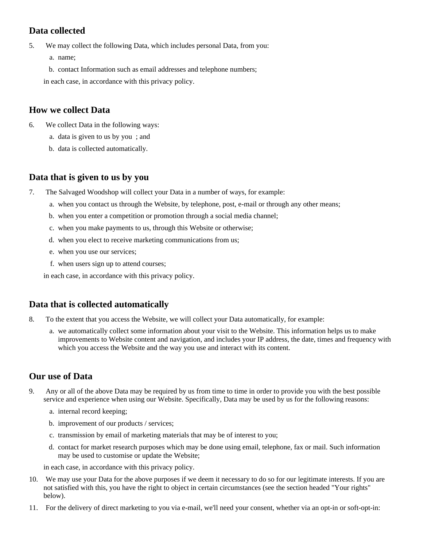## **Data collected**

- 5. We may collect the following Data, which includes personal Data, from you:
	- a. name;
	- b. contact Information such as email addresses and telephone numbers;
	- in each case, in accordance with this privacy policy.

## **How we collect Data**

- 6. We collect Data in the following ways:
	- a. data is given to us by you ; and
	- b. data is collected automatically.

## **Data that is given to us by you**

- 7. The Salvaged Woodshop will collect your Data in a number of ways, for example:
	- a. when you contact us through the Website, by telephone, post, e-mail or through any other means;
	- b. when you enter a competition or promotion through a social media channel;
	- c. when you make payments to us, through this Website or otherwise;
	- d. when you elect to receive marketing communications from us;
	- e. when you use our services;
	- f. when users sign up to attend courses;

in each case, in accordance with this privacy policy.

## **Data that is collected automatically**

- 8. To the extent that you access the Website, we will collect your Data automatically, for example:
	- a. we automatically collect some information about your visit to the Website. This information helps us to make improvements to Website content and navigation, and includes your IP address, the date, times and frequency with which you access the Website and the way you use and interact with its content.

## **Our use of Data**

- 9. Any or all of the above Data may be required by us from time to time in order to provide you with the best possible service and experience when using our Website. Specifically, Data may be used by us for the following reasons:
	- a. internal record keeping;
	- b. improvement of our products / services;
	- c. transmission by email of marketing materials that may be of interest to you;
	- d. contact for market research purposes which may be done using email, telephone, fax or mail. Such information may be used to customise or update the Website;
	- in each case, in accordance with this privacy policy.
- 10. We may use your Data for the above purposes if we deem it necessary to do so for our legitimate interests. If you are not satisfied with this, you have the right to object in certain circumstances (see the section headed "Your rights" below).
- 11. For the delivery of direct marketing to you via e-mail, we'll need your consent, whether via an opt-in or soft-opt-in: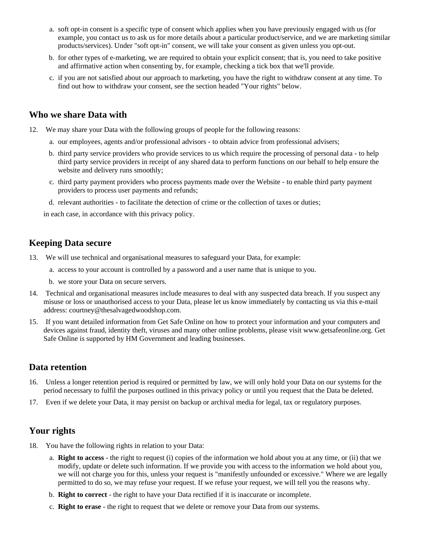- a. soft opt-in consent is a specific type of consent which applies when you have previously engaged with us (for example, you contact us to ask us for more details about a particular product/service, and we are marketing similar products/services). Under "soft opt-in" consent, we will take your consent as given unless you opt-out.
- b. for other types of e-marketing, we are required to obtain your explicit consent; that is, you need to take positive and affirmative action when consenting by, for example, checking a tick box that we'll provide.
- c. if you are not satisfied about our approach to marketing, you have the right to withdraw consent at any time. To find out how to withdraw your consent, see the section headed "Your rights" below.

#### **Who we share Data with**

- 12. We may share your Data with the following groups of people for the following reasons:
	- a. our employees, agents and/or professional advisors to obtain advice from professional advisers;
	- b. third party service providers who provide services to us which require the processing of personal data to help third party service providers in receipt of any shared data to perform functions on our behalf to help ensure the website and delivery runs smoothly;
	- c. third party payment providers who process payments made over the Website to enable third party payment providers to process user payments and refunds;
	- d. relevant authorities to facilitate the detection of crime or the collection of taxes or duties;

in each case, in accordance with this privacy policy.

#### **Keeping Data secure**

- 13. We will use technical and organisational measures to safeguard your Data, for example:
	- a. access to your account is controlled by a password and a user name that is unique to you.
	- b. we store your Data on secure servers.
- 14. Technical and organisational measures include measures to deal with any suspected data breach. If you suspect any misuse or loss or unauthorised access to your Data, please let us know immediately by contacting us via this e-mail address: courtney@thesalvagedwoodshop.com.
- 15. If you want detailed information from Get Safe Online on how to protect your information and your computers and devices against fraud, identity theft, viruses and many other online problems, please visit www.getsafeonline.org. Get Safe Online is supported by HM Government and leading businesses.

#### **Data retention**

- 16. Unless a longer retention period is required or permitted by law, we will only hold your Data on our systems for the period necessary to fulfil the purposes outlined in this privacy policy or until you request that the Data be deleted.
- 17. Even if we delete your Data, it may persist on backup or archival media for legal, tax or regulatory purposes.

#### **Your rights**

- 18. You have the following rights in relation to your Data:
	- a. **Right to access** the right to request (i) copies of the information we hold about you at any time, or (ii) that we modify, update or delete such information. If we provide you with access to the information we hold about you, we will not charge you for this, unless your request is "manifestly unfounded or excessive." Where we are legally permitted to do so, we may refuse your request. If we refuse your request, we will tell you the reasons why.
	- b. **Right to correct** the right to have your Data rectified if it is inaccurate or incomplete.
	- c. **Right to erase** the right to request that we delete or remove your Data from our systems.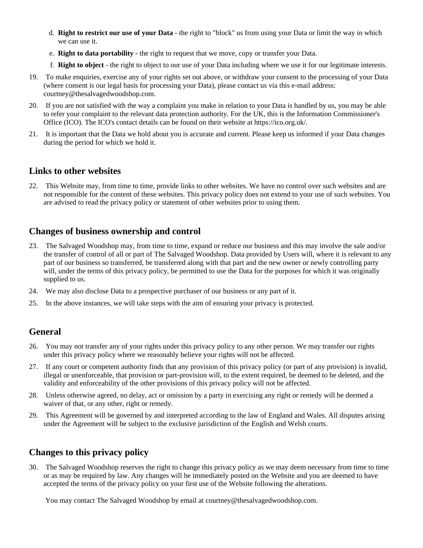- d. **Right to restrict our use of your Data** the right to "block" us from using your Data or limit the way in which we can use it.
- e. **Right to data portability** the right to request that we move, copy or transfer your Data.
- f. **Right to object** the right to object to our use of your Data including where we use it for our legitimate interests.
- 19. To make enquiries, exercise any of your rights set out above, or withdraw your consent to the processing of your Data (where consent is our legal basis for processing your Data), please contact us via this e-mail address: courtney@thesalvagedwoodshop.com.
- 20. If you are not satisfied with the way a complaint you make in relation to your Data is handled by us, you may be able to refer your complaint to the relevant data protection authority. For the UK, this is the Information Commissioner's Office (ICO). The ICO's contact details can be found on their website at https://ico.org.uk/.
- 21. It is important that the Data we hold about you is accurate and current. Please keep us informed if your Data changes during the period for which we hold it.

#### **Links to other websites**

22. This Website may, from time to time, provide links to other websites. We have no control over such websites and are not responsible for the content of these websites. This privacy policy does not extend to your use of such websites. You are advised to read the privacy policy or statement of other websites prior to using them.

## **Changes of business ownership and control**

- 23. The Salvaged Woodshop may, from time to time, expand or reduce our business and this may involve the sale and/or the transfer of control of all or part of The Salvaged Woodshop. Data provided by Users will, where it is relevant to any part of our business so transferred, be transferred along with that part and the new owner or newly controlling party will, under the terms of this privacy policy, be permitted to use the Data for the purposes for which it was originally supplied to us.
- 24. We may also disclose Data to a prospective purchaser of our business or any part of it.
- 25. In the above instances, we will take steps with the aim of ensuring your privacy is protected.

## **General**

- 26. You may not transfer any of your rights under this privacy policy to any other person. We may transfer our rights under this privacy policy where we reasonably believe your rights will not be affected.
- 27. If any court or competent authority finds that any provision of this privacy policy (or part of any provision) is invalid, illegal or unenforceable, that provision or part-provision will, to the extent required, be deemed to be deleted, and the validity and enforceability of the other provisions of this privacy policy will not be affected.
- 28. Unless otherwise agreed, no delay, act or omission by a party in exercising any right or remedy will be deemed a waiver of that, or any other, right or remedy.
- 29. This Agreement will be governed by and interpreted according to the law of England and Wales. All disputes arising under the Agreement will be subject to the exclusive jurisdiction of the English and Welsh courts.

## **Changes to this privacy policy**

30. The Salvaged Woodshop reserves the right to change this privacy policy as we may deem necessary from time to time or as may be required by law. Any changes will be immediately posted on the Website and you are deemed to have accepted the terms of the privacy policy on your first use of the Website following the alterations.

You may contact The Salvaged Woodshop by email at courtney@thesalvagedwoodshop.com.